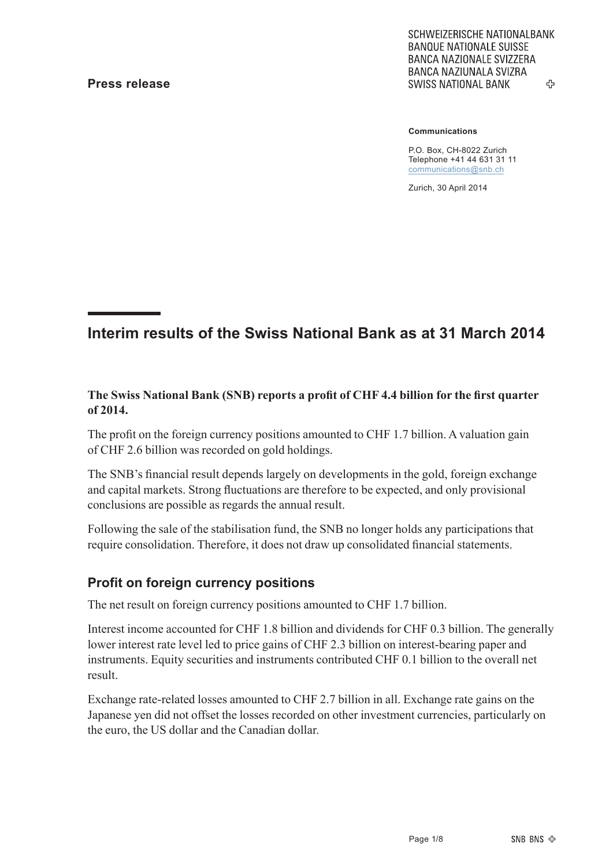SCHWEIZERISCHE NATIONALBANK **BANQUE NATIONALE SUISSE BANCA NAZIONALE SVIZZERA** BANCA NAZIUNALA SVIZRA **SWISS NATIONAL BANK** 45

#### **Communications**

P.O. Box, CH-8022 Zurich Telephone +41 44 631 31 11 communications@snb.ch

Zurich, 30 April 2014

### **Interim results of the Swiss National Bank as at 31 March 2014**

#### **The Swiss National Bank (SNB) reports a profit of CHF 4.4 billion for the first quarter of 2014.**

The profit on the foreign currency positions amounted to CHF 1.7 billion. A valuation gain of CHF 2.6 billion was recorded on gold holdings.

The SNB's financial result depends largely on developments in the gold, foreign exchange and capital markets. Strong fluctuations are therefore to be expected, and only provisional conclusions are possible as regards the annual result.

Following the sale of the stabilisation fund, the SNB no longer holds any participations that require consolidation. Therefore, it does not draw up consolidated financial statements.

### **Profit on foreign currency positions**

The net result on foreign currency positions amounted to CHF 1.7 billion.

Interest income accounted for CHF 1.8 billion and dividends for CHF 0.3 billion. The generally lower interest rate level led to price gains of CHF 2.3 billion on interest-bearing paper and instruments. Equity securities and instruments contributed CHF 0.1 billion to the overall net result.

Exchange rate-related losses amounted to CHF 2.7 billion in all. Exchange rate gains on the Japanese yen did not offset the losses recorded on other investment currencies, particularly on the euro, the US dollar and the Canadian dollar.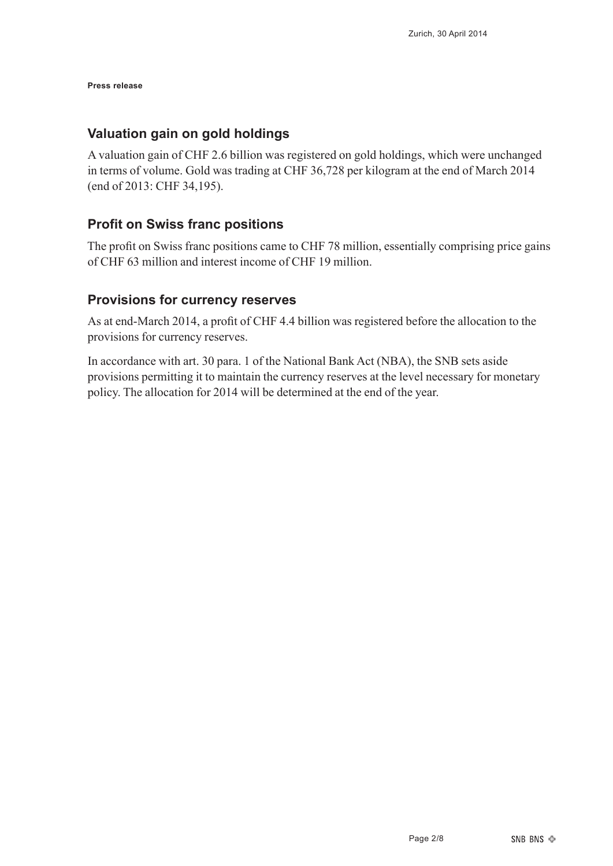#### **Valuation gain on gold holdings**

A valuation gain of CHF 2.6 billion was registered on gold holdings, which were unchanged in terms of volume. Gold was trading at CHF 36,728 per kilogram at the end of March 2014 (end of 2013: CHF 34,195).

### **Profit on Swiss franc positions**

The profit on Swiss franc positions came to CHF 78 million, essentially comprising price gains of CHF 63 million and interest income of CHF 19 million.

### **Provisions for currency reserves**

As at end-March 2014, a profit of CHF 4.4 billion was registered before the allocation to the provisions for currency reserves.

In accordance with art. 30 para. 1 of the National Bank Act (NBA), the SNB sets aside provisions permitting it to maintain the currency reserves at the level necessary for monetary policy. The allocation for 2014 will be determined at the end of the year.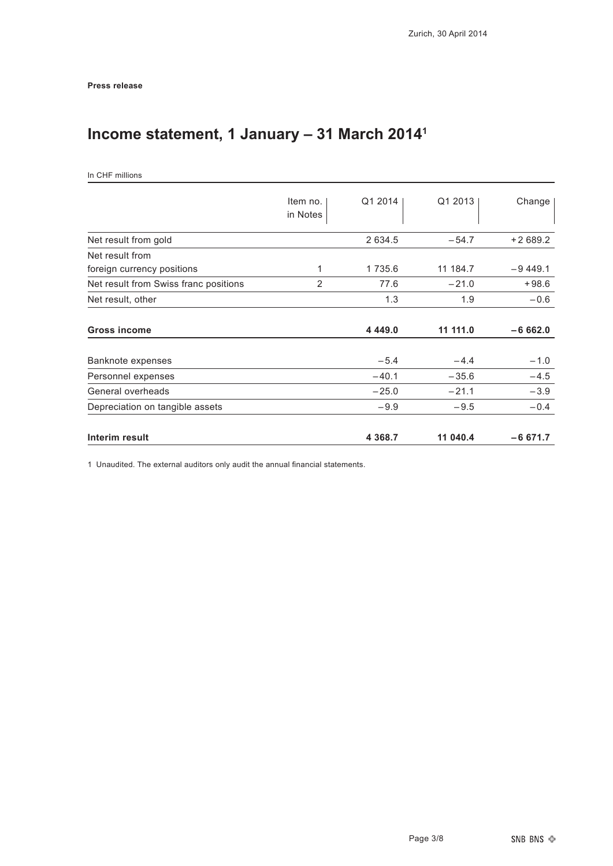# **Income statement, 1 January – 31 March 20141**

| In CHF millions |  |  |
|-----------------|--|--|
|-----------------|--|--|

|                                       | Item no.<br>in Notes | Q1 2014    | Q1 2013  | Change     |
|---------------------------------------|----------------------|------------|----------|------------|
| Net result from gold                  |                      | 2 634.5    | $-54.7$  | $+2689.2$  |
| Net result from                       |                      |            |          |            |
| foreign currency positions            | 1                    | 1 735.6    | 11 184.7 | $-9,449,1$ |
| Net result from Swiss franc positions | 2                    | 77.6       | $-21.0$  | $+98.6$    |
| Net result, other                     |                      | 1.3        | 1.9      | $-0.6$     |
| <b>Gross income</b>                   |                      | 4 4 4 9 .0 | 11 111.0 | $-6662.0$  |
| Banknote expenses                     |                      | $-5.4$     | $-4.4$   | $-1.0$     |
| Personnel expenses                    |                      | $-40.1$    | $-35.6$  | $-4.5$     |
| General overheads                     |                      | $-25.0$    | $-21.1$  | $-3.9$     |
| Depreciation on tangible assets       |                      | $-9.9$     | $-9.5$   | $-0.4$     |
| Interim result                        |                      | 4 3 6 8.7  | 11 040.4 | $-6671.7$  |

1 Unaudited. The external auditors only audit the annual financial statements.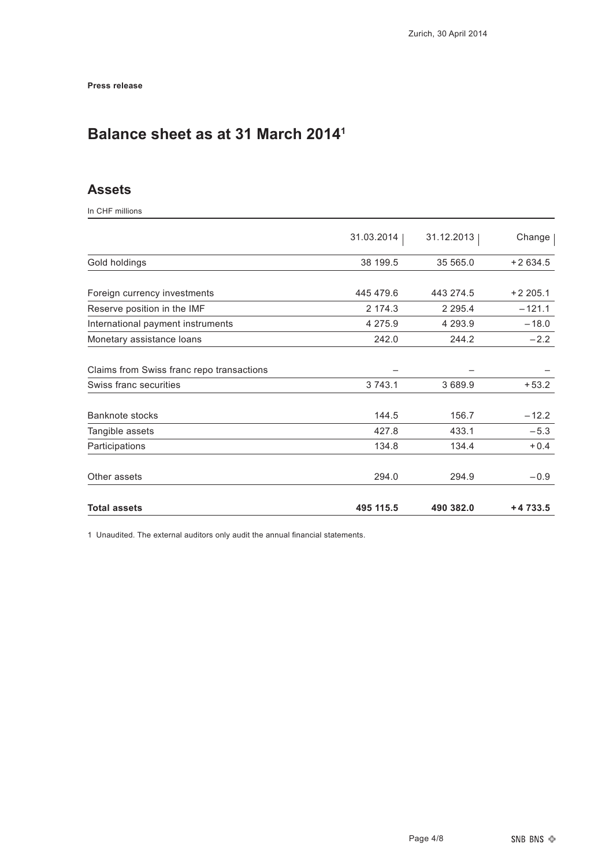# **Balance sheet as at 31 March 20141**

### **Assets**

In CHF millions

|                                           | 31.03.2014 | 31.12.2013  | Change    |
|-------------------------------------------|------------|-------------|-----------|
| Gold holdings                             | 38 199.5   | 35 565.0    | $+2634.5$ |
|                                           |            |             |           |
| Foreign currency investments              | 445 479.6  | 443 274.5   | $+2205.1$ |
| Reserve position in the IMF               | 2 174.3    | 2 2 9 5 . 4 | $-121.1$  |
| International payment instruments         | 4 275.9    | 4 293.9     | $-18.0$   |
| Monetary assistance loans                 | 242.0      | 244.2       | $-2.2$    |
| Claims from Swiss franc repo transactions |            |             |           |
| Swiss franc securities                    | 3 743.1    | 3 689.9     | $+53.2$   |
| <b>Banknote stocks</b>                    | 144.5      | 156.7       | $-12.2$   |
| Tangible assets                           | 427.8      | 433.1       | $-5.3$    |
| Participations                            | 134.8      | 134.4       | $+0.4$    |
| Other assets                              | 294.0      | 294.9       | $-0.9$    |
| <b>Total assets</b>                       | 495 115.5  | 490 382.0   | $+4733.5$ |

1 Unaudited. The external auditors only audit the annual financial statements.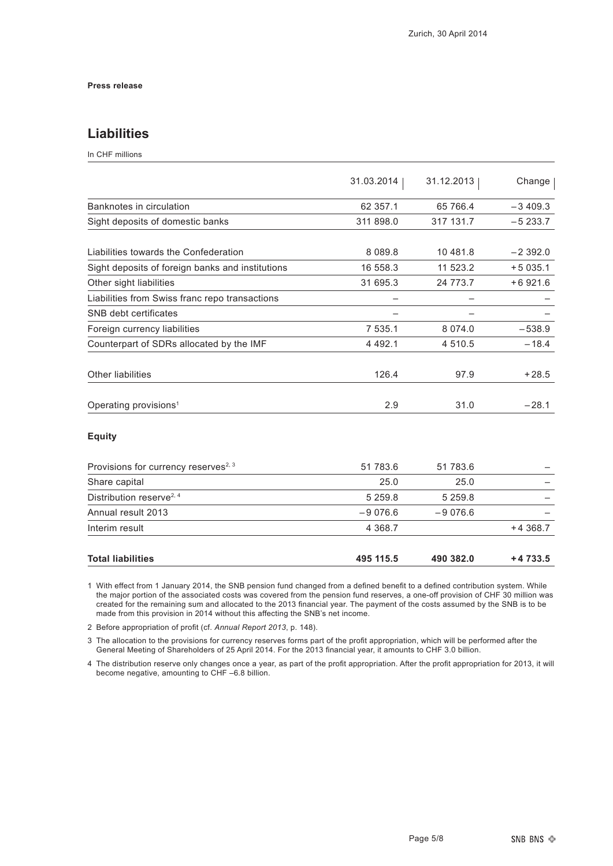### **Liabilities**

In CHF millions

|             |            | Change     |
|-------------|------------|------------|
|             |            |            |
| 62 357.1    | 65 766.4   | $-3409.3$  |
| 311 898.0   | 317 131.7  | $-5233.7$  |
| 8 0 8 9 . 8 | 10 481.8   | $-2392.0$  |
| 16 558.3    | 11 523.2   | $+5035.1$  |
| 31 695.3    | 24 773.7   | $+6921.6$  |
|             |            |            |
|             |            |            |
| 7 535.1     | 8 0 7 4 .0 | $-538.9$   |
| 4 4 9 2.1   | 4 510.5    | $-18.4$    |
| 126.4       | 97.9       | $+28.5$    |
| 2.9         | 31.0       | $-28.1$    |
|             | 31.03.2014 | 31.12.2013 |

#### **Equity**

| Provisions for currency reserves <sup>2, 3</sup> | 51 783.6    | 51 783.6    |           |
|--------------------------------------------------|-------------|-------------|-----------|
| Share capital                                    | 25.0        | 25.0        |           |
| Distribution reserve <sup>2, 4</sup>             | 5 2 5 9 . 8 | 5 2 5 9 . 8 |           |
| Annual result 2013                               | $-9076.6$   | $-9076.6$   |           |
| Interim result                                   | 4 3 6 8 . 7 |             | $+4368.7$ |
| <b>Total liabilities</b>                         | 495 115.5   | 490 382.0   | $+4733.5$ |

1 With effect from 1 January 2014, the SNB pension fund changed from a defined benefit to a defined contribution system. While the major portion of the associated costs was covered from the pension fund reserves, a one-off provision of CHF 30 million was created for the remaining sum and allocated to the 2013 financial year. The payment of the costs assumed by the SNB is to be made from this provision in 2014 without this affecting the SNB's net income.

2 Before appropriation of profit (cf. *Annual Report 2013*, p. 148).

3 The allocation to the provisions for currency reserves forms part of the profit appropriation, which will be performed after the General Meeting of Shareholders of 25 April 2014. For the 2013 financial year, it amounts to CHF 3.0 billion.

4 The distribution reserve only changes once a year, as part of the profit appropriation. After the profit appropriation for 2013, it will become negative, amounting to CHF –6.8 billion.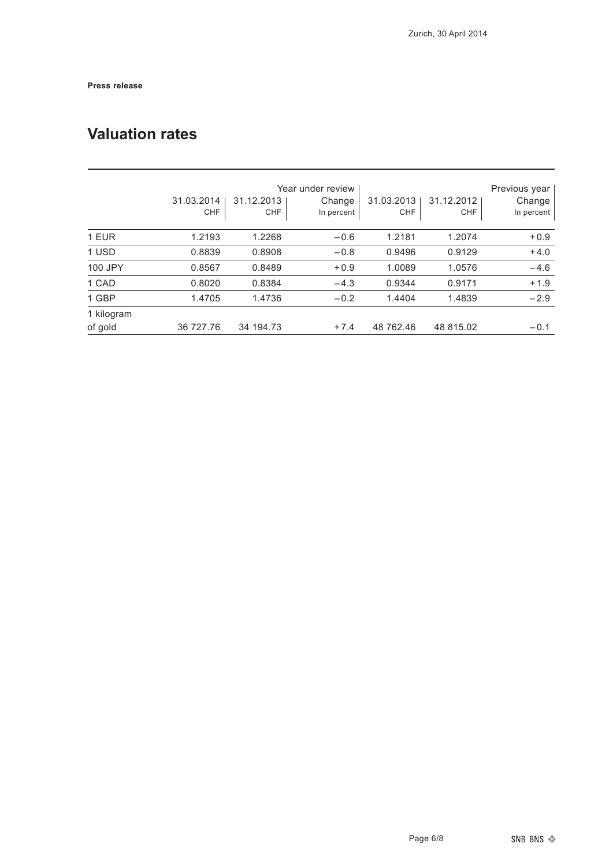# **Valuation rates**

|            | 31.03.2014<br><b>CHF</b> | 31.12.2013<br>CHF | Year under review<br>Change<br>In percent | 31.03.2013<br><b>CHF</b> | 31.12.2012<br><b>CHF</b> | Previous year<br>Change<br>In percent |
|------------|--------------------------|-------------------|-------------------------------------------|--------------------------|--------------------------|---------------------------------------|
| 1 EUR      | 1.2193                   | 1.2268            | $-0.6$                                    | 1.2181                   | 1.2074                   | $+0.9$                                |
| 1 USD      | 0.8839                   | 0.8908            | $-0.8$                                    | 0.9496                   | 0.9129                   | $+4.0$                                |
| 100 JPY    | 0.8567                   | 0.8489            | $+0.9$                                    | 1.0089                   | 1.0576                   | $-4.6$                                |
| 1 CAD      | 0.8020                   | 0.8384            | $-4.3$                                    | 0.9344                   | 0.9171                   | $+1.9$                                |
| 1 GBP      | 1.4705                   | 1.4736            | $-0.2$                                    | 1.4404                   | 1.4839                   | $-2.9$                                |
| 1 kilogram |                          |                   |                                           |                          |                          |                                       |
| of gold    | 36 727.76                | 34 194.73         | $+7.4$                                    | 48 762.46                | 48 815.02                | $-0.1$                                |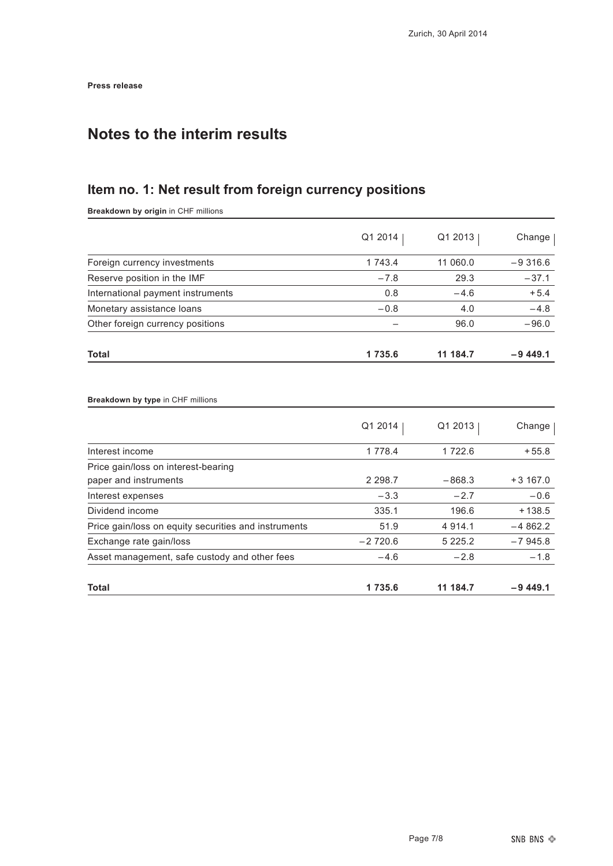## **Notes to the interim results**

## **Item no. 1: Net result from foreign currency positions**

**Breakdown by origin** in CHF millions

|                                                      | Q1 2014    | Q1 2013     | Change     |
|------------------------------------------------------|------------|-------------|------------|
| Foreign currency investments                         | 1 743.4    | 11 060.0    | $-9,316.6$ |
| Reserve position in the IMF                          | $-7.8$     | 29.3        | $-37.1$    |
| International payment instruments                    | 0.8        | $-4.6$      | $+5.4$     |
| Monetary assistance loans                            | $-0.8$     | 4.0         | $-4.8$     |
| Other foreign currency positions                     | -          | 96.0        | $-96.0$    |
| <b>Total</b>                                         | 1735.6     | 11 184.7    | $-9449.1$  |
| Breakdown by type in CHF millions                    |            |             |            |
|                                                      |            |             |            |
|                                                      | Q1 2014    | Q1 2013     | Change     |
| Interest income                                      | 1 7 7 8 .4 | 1 7 2 2.6   | $+55.8$    |
| Price gain/loss on interest-bearing                  |            |             |            |
| paper and instruments                                | 2 2 9 8.7  | $-868.3$    | $+3167.0$  |
| Interest expenses                                    | $-3.3$     | $-2.7$      | $-0.6$     |
| Dividend income                                      | 335.1      | 196.6       | $+138.5$   |
| Price gain/loss on equity securities and instruments | 51.9       | 4 9 1 4 . 1 | $-4862.2$  |
| Exchange rate gain/loss                              | $-2720.6$  | 5 2 2 5 . 2 | $-7945.8$  |
| Asset management, safe custody and other fees        | $-4.6$     | $-2.8$      | $-1.8$     |
| <b>Total</b>                                         | 1735.6     | 11 184.7    | $-9449.1$  |